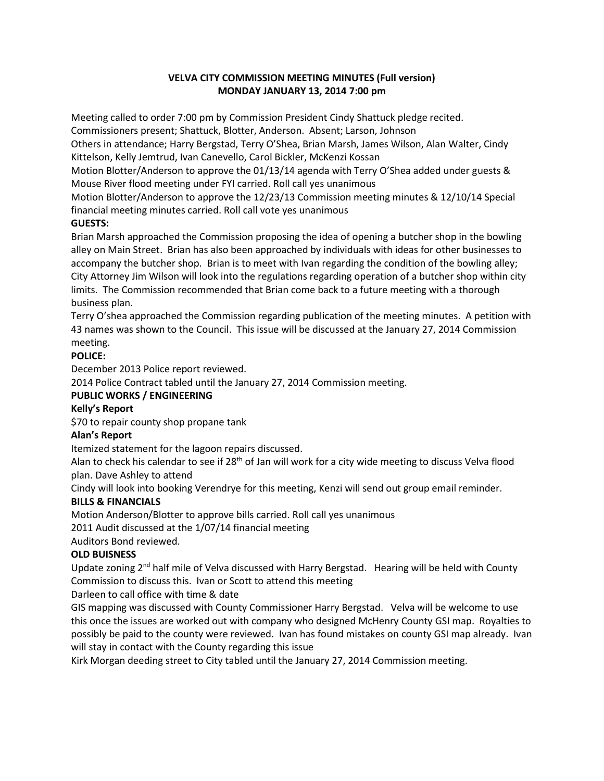## **VELVA CITY COMMISSION MEETING MINUTES (Full version) MONDAY JANUARY 13, 2014 7:00 pm**

Meeting called to order 7:00 pm by Commission President Cindy Shattuck pledge recited.

Commissioners present; Shattuck, Blotter, Anderson. Absent; Larson, Johnson

Others in attendance; Harry Bergstad, Terry O'Shea, Brian Marsh, James Wilson, Alan Walter, Cindy Kittelson, Kelly Jemtrud, Ivan Canevello, Carol Bickler, McKenzi Kossan

Motion Blotter/Anderson to approve the 01/13/14 agenda with Terry O'Shea added under guests & Mouse River flood meeting under FYI carried. Roll call yes unanimous

Motion Blotter/Anderson to approve the 12/23/13 Commission meeting minutes & 12/10/14 Special financial meeting minutes carried. Roll call vote yes unanimous

# **GUESTS:**

Brian Marsh approached the Commission proposing the idea of opening a butcher shop in the bowling alley on Main Street. Brian has also been approached by individuals with ideas for other businesses to accompany the butcher shop. Brian is to meet with Ivan regarding the condition of the bowling alley; City Attorney Jim Wilson will look into the regulations regarding operation of a butcher shop within city limits. The Commission recommended that Brian come back to a future meeting with a thorough business plan.

Terry O'shea approached the Commission regarding publication of the meeting minutes. A petition with 43 names was shown to the Council. This issue will be discussed at the January 27, 2014 Commission meeting.

## **POLICE:**

December 2013 Police report reviewed.

2014 Police Contract tabled until the January 27, 2014 Commission meeting.

## **PUBLIC WORKS / ENGINEERING**

## **Kelly's Report**

\$70 to repair county shop propane tank

## **Alan's Report**

Itemized statement for the lagoon repairs discussed.

Alan to check his calendar to see if 28<sup>th</sup> of Jan will work for a city wide meeting to discuss Velva flood plan. Dave Ashley to attend

Cindy will look into booking Verendrye for this meeting, Kenzi will send out group email reminder.

# **BILLS & FINANCIALS**

Motion Anderson/Blotter to approve bills carried. Roll call yes unanimous

2011 Audit discussed at the 1/07/14 financial meeting

Auditors Bond reviewed.

# **OLD BUISNESS**

Update zoning  $2<sup>nd</sup>$  half mile of Velva discussed with Harry Bergstad. Hearing will be held with County Commission to discuss this. Ivan or Scott to attend this meeting

Darleen to call office with time & date

GIS mapping was discussed with County Commissioner Harry Bergstad. Velva will be welcome to use this once the issues are worked out with company who designed McHenry County GSI map. Royalties to possibly be paid to the county were reviewed. Ivan has found mistakes on county GSI map already. Ivan will stay in contact with the County regarding this issue

Kirk Morgan deeding street to City tabled until the January 27, 2014 Commission meeting.